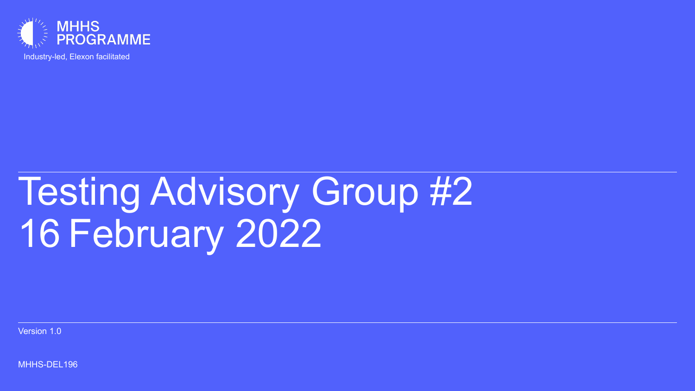

Industry-led, Elexon facilitated

# Testing Advisory Group #2 16 February 2022

Version 1.0

MHHS-DEL196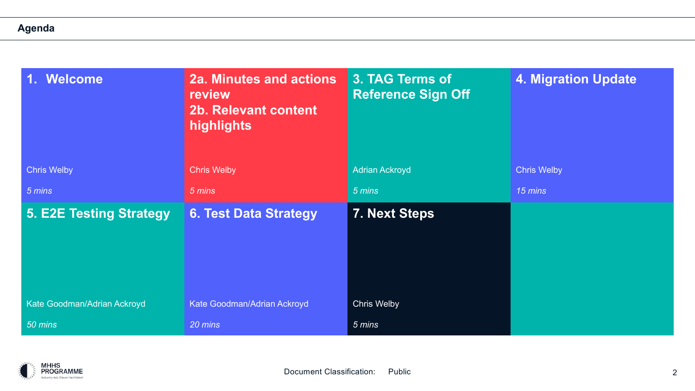### **Agenda**

| Welcome<br>¢                   | <b>2a. Minutes and actions</b><br>review<br><b>2b. Relevant content</b><br>highlights | 3. TAG Terms of<br><b>Reference Sign Off</b> | <b>4. Migration Update</b> |  |  |  |  |
|--------------------------------|---------------------------------------------------------------------------------------|----------------------------------------------|----------------------------|--|--|--|--|
| <b>Chris Welby</b>             | <b>Chris Welby</b>                                                                    | <b>Adrian Ackroyd</b>                        | <b>Chris Welby</b>         |  |  |  |  |
| 5 mins                         | 5 mins                                                                                | 5 mins                                       | 15 mins                    |  |  |  |  |
| <b>5. E2E Testing Strategy</b> | <b>6. Test Data Strategy</b>                                                          | <b>7. Next Steps</b>                         |                            |  |  |  |  |
| Kate Goodman/Adrian Ackroyd    | Kate Goodman/Adrian Ackroyd                                                           | <b>Chris Welby</b>                           |                            |  |  |  |  |
| $50$ mins                      | 20 mins                                                                               | 5 mins                                       |                            |  |  |  |  |

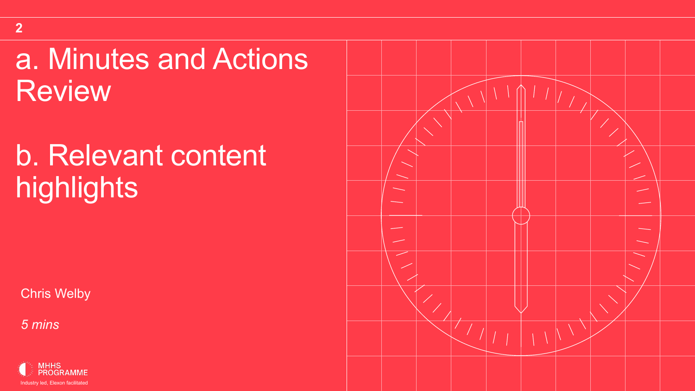### a. Minutes and Actions **Review**

# b. Relevant content highlights

Chris Welby



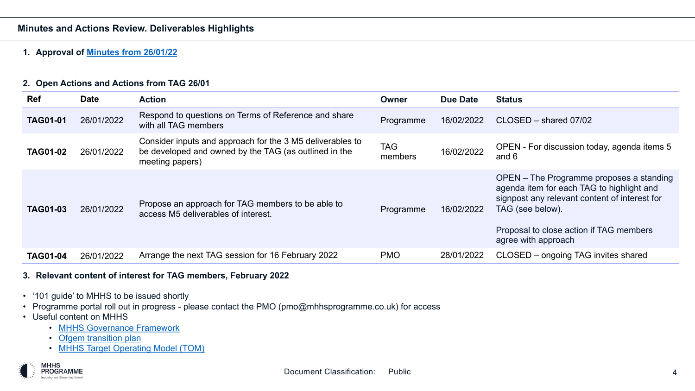#### **Minutes and Actions Review. Deliverables Highlights**

#### **1. Approval of Minutes from 26/01/22**

#### **2. Open Actions and Actions from TAG 26/01**

| <b>Ref</b>      | <b>Date</b> | <b>Action</b>                                                                                                                         | Owner                 |  |
|-----------------|-------------|---------------------------------------------------------------------------------------------------------------------------------------|-----------------------|--|
| <b>TAG01-01</b> | 26/01/2022  | Respond to questions on Terms of Reference and share<br>with all TAG members                                                          | Programme             |  |
| <b>TAG01-02</b> | 26/01/2022  | Consider inputs and approach for the 3 M5 deliverables to<br>be developed and owned by the TAG (as outlined in the<br>meeting papers) | <b>TAG</b><br>members |  |
| <b>TAG01-03</b> | 26/01/2022  | Propose an approach for TAG members to be able to<br>access M5 deliverables of interest.                                              | Programme             |  |
| <b>TAG01-04</b> | 26/01/2022  | Arrange the next TAG session for 16 February 2022                                                                                     | <b>PMO</b>            |  |

#### **3. Relevant content of interest for TAG members, February 2022**

- '101 guide' to MHHS to be issued shortly
- Programme portal roll out in progress please contact the PMO (pmo@mhhsprogramme.co.uk) for access
- Useful content on MHHS
	- MHHS Governance Framework
	- Ofgem transition plan
	- MHHS Target Operating Model (TOM)

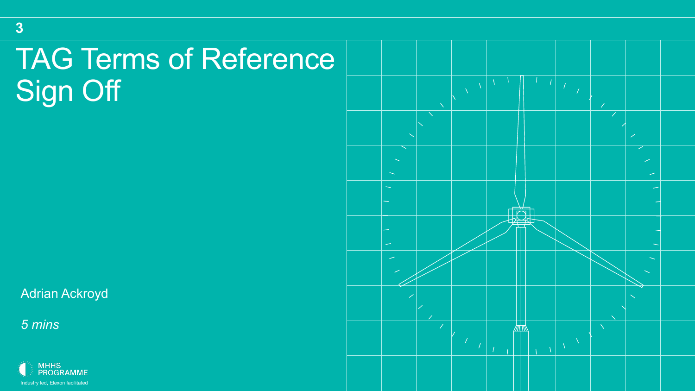## TAG Terms of Reference Sign Off

Adrian Ackroyd

*5 mins*

**3**



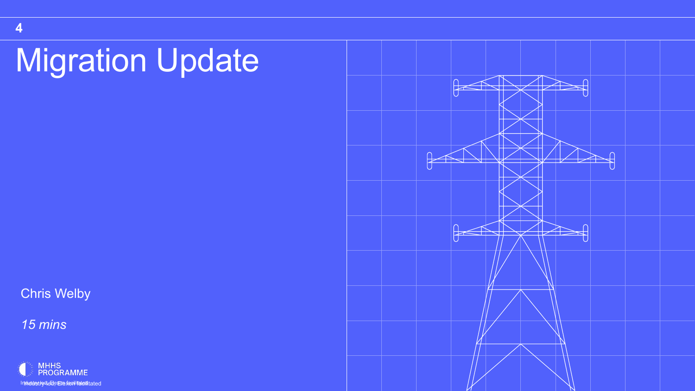# **Migration Update**

Chris Welby



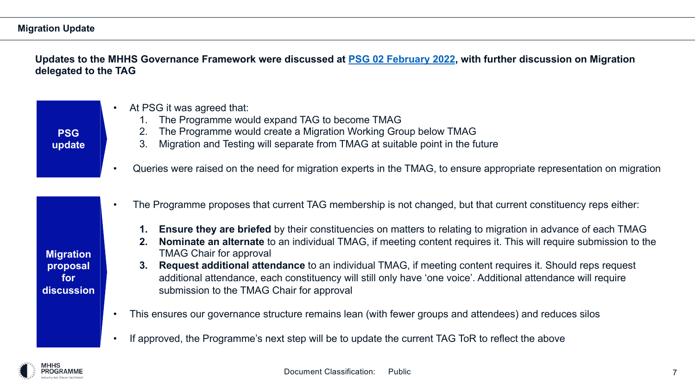### **Migration Update**

#### **Updates to the MHHS Governance Framework were discussed at <b>PSG 02 February 20 delegated to the TAG**

| <b>PSG</b><br>update                              | At PSG it was agreed that:<br>$\bullet$<br>The Programme would expand TAG to become TMAG<br>The Programme would create a Migration Working Group below<br>2.<br>Migration and Testing will separate from TMAG at suitable point<br>3.<br>Queries were raised on the need for migration experts in the TMAG, to<br>$\bullet$                                                                                                                                                                                                                                       |
|---------------------------------------------------|-------------------------------------------------------------------------------------------------------------------------------------------------------------------------------------------------------------------------------------------------------------------------------------------------------------------------------------------------------------------------------------------------------------------------------------------------------------------------------------------------------------------------------------------------------------------|
| <b>Migration</b><br>proposal<br>for<br>discussion | The Programme proposes that current TAG membership is not change<br>$\bullet$<br><b>Ensure they are briefed</b> by their constituencies on matters to re<br>$1_{\cdot}$<br><b>Nominate an alternate to an individual TMAG, if meeting conter-</b><br>2.<br><b>TMAG Chair for approval</b><br><b>Request additional attendance to an individual TMAG, if meet</b><br>3.<br>additional attendance, each constituency will still only have 'one<br>submission to the TMAG Chair for approval<br>This ensures our governance structure remains lean (with fewer group |
|                                                   | If approved, the Programme's next step will be to update the current T                                                                                                                                                                                                                                                                                                                                                                                                                                                                                            |

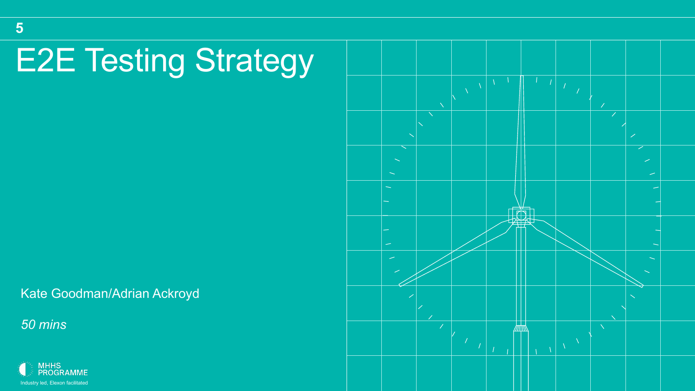# E2E Testing Strategy

Kate Goodman/Adrian Ackroyd

*50 mins*

**5**



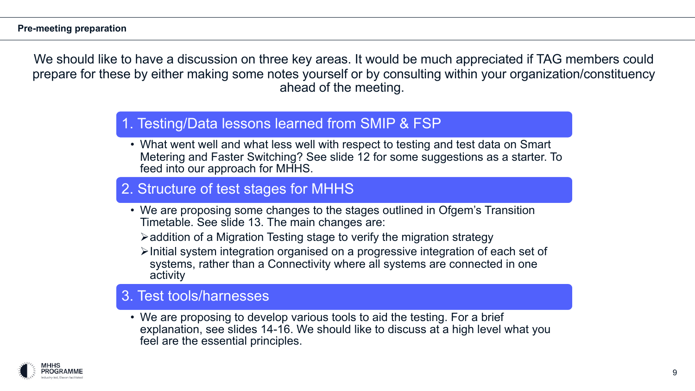We should like to have a discussion on three key areas. It would be much appreciated if TAG members could prepare for these by either making some notes yourself or by consulting within your organization/constituency ahead of the meeting.

### 1. Testing/Data lessons learned from SMIP & FSP

• What went well and what less well with respect to testing and test data on Smart Metering and Faster Switching? See slide 12 for some suggestions as a starter. To feed into our approach for MHHS.

### 2. Structure of test stages for MHHS

- We are proposing some changes to the stages outlined in Ofgem's Transition Timetable. See slide 13. The main changes are:
	- $\triangleright$  addition of a Migration Testing stage to verify the migration strategy
	- $\triangleright$  Initial system integration organised on a progressive integration of each set of systems, rather than a Connectivity where all systems are connected in one activity

### 3. Test tools/harnesses

• We are proposing to develop various tools to aid the testing. For a brief explanation, see slides 14-16. We should like to discuss at a high level what you feel are the essential principles.

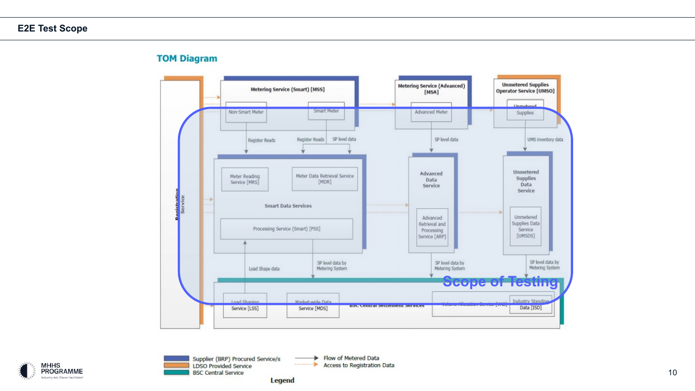#### **TOM Diagram**





Access to Registration Data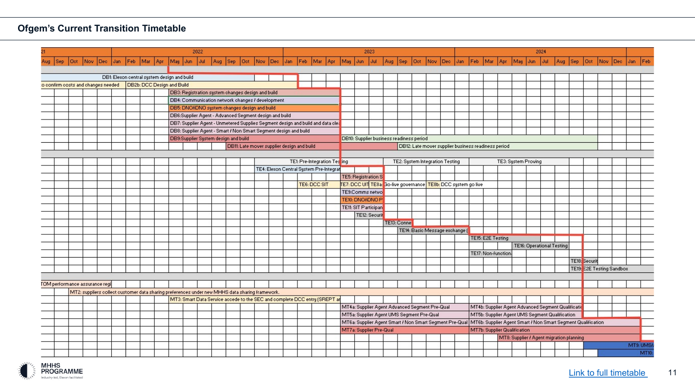

|     |      |            |      |                                                                                                 |     |                                             |                            |                                                  |     |                                                        | 2022 |     |                                                                                 |                                            |      |      | 2023 |      |              |                                                                            |                                             |      |                                          |                         |                    |     |                                            |  |
|-----|------|------------|------|-------------------------------------------------------------------------------------------------|-----|---------------------------------------------|----------------------------|--------------------------------------------------|-----|--------------------------------------------------------|------|-----|---------------------------------------------------------------------------------|--------------------------------------------|------|------|------|------|--------------|----------------------------------------------------------------------------|---------------------------------------------|------|------------------------------------------|-------------------------|--------------------|-----|--------------------------------------------|--|
| Aug | Sep: | <b>Oct</b> | Nov. | Dec.                                                                                            | Jan | Feb                                         | Mar                        | 1 Apr                                            | May | Jun                                                    | Jul  | Aug | Sep                                                                             | l Oct-                                     | Nov. | Dec. | Jan  | Feb. | Mar          | Apr                                                                        | May                                         | Jun. | Jul                                      | Aug.                    | Sep                | Oct | Nov.                                       |  |
|     |      |            |      |                                                                                                 |     |                                             |                            |                                                  |     |                                                        |      |     |                                                                                 |                                            |      |      |      |      |              |                                                                            |                                             |      |                                          |                         |                    |     |                                            |  |
|     |      |            |      |                                                                                                 |     | DB1: Elexon central system design and build |                            |                                                  |     |                                                        |      |     |                                                                                 |                                            |      |      |      |      |              |                                                                            |                                             |      |                                          |                         |                    |     |                                            |  |
|     |      |            |      | to confirm costs and changes needed.                                                            |     |                                             | DB2b: DCC Design and Build |                                                  |     |                                                        |      |     |                                                                                 |                                            |      |      |      |      |              |                                                                            |                                             |      |                                          |                         |                    |     |                                            |  |
|     |      |            |      |                                                                                                 |     |                                             |                            |                                                  |     |                                                        |      |     | DB3: Registration system changes design and build                               |                                            |      |      |      |      |              |                                                                            |                                             |      |                                          |                         |                    |     |                                            |  |
|     |      |            |      |                                                                                                 |     |                                             |                            | DB4: Communication network changes / development |     |                                                        |      |     |                                                                                 |                                            |      |      |      |      |              |                                                                            |                                             |      |                                          |                         |                    |     |                                            |  |
|     |      |            |      |                                                                                                 |     |                                             |                            |                                                  |     | DB5: DNO/iDNO system changes design and build          |      |     |                                                                                 |                                            |      |      |      |      |              |                                                                            |                                             |      |                                          |                         |                    |     |                                            |  |
|     |      |            |      |                                                                                                 |     |                                             |                            |                                                  |     | DB6:Supplier Agent - Advanced Segment design and build |      |     |                                                                                 |                                            |      |      |      |      |              |                                                                            |                                             |      |                                          |                         |                    |     |                                            |  |
|     |      |            |      |                                                                                                 |     |                                             |                            |                                                  |     |                                                        |      |     | DB7: Supplier Agent - Unmetered Supplies Segment design and build and data cle. |                                            |      |      |      |      |              |                                                                            |                                             |      |                                          |                         |                    |     |                                            |  |
|     |      |            |      |                                                                                                 |     |                                             |                            |                                                  |     |                                                        |      |     | DB8: Supplier Agent - Smart / Non Smart Segment design and build                |                                            |      |      |      |      |              |                                                                            |                                             |      |                                          |                         |                    |     |                                            |  |
|     |      |            |      |                                                                                                 |     |                                             |                            |                                                  |     |                                                        |      |     | DB9:Supplier System design and build                                            |                                            |      |      |      |      |              |                                                                            |                                             |      | DB10: Supplier business readiness period |                         |                    |     |                                            |  |
|     |      |            |      |                                                                                                 |     |                                             |                            |                                                  |     |                                                        |      |     |                                                                                 | DB11: Late mover supplier design and build |      |      |      |      |              |                                                                            |                                             |      |                                          |                         |                    |     | DB12: Late mover st                        |  |
|     |      |            |      |                                                                                                 |     |                                             |                            |                                                  |     |                                                        |      |     |                                                                                 |                                            |      |      |      |      |              |                                                                            |                                             |      |                                          |                         |                    |     |                                            |  |
|     |      |            |      |                                                                                                 |     |                                             |                            |                                                  |     |                                                        |      |     |                                                                                 |                                            |      |      |      |      |              | TE1: Pre-Integration Testing                                               |                                             |      |                                          | TE2: System Integration |                    |     |                                            |  |
|     |      |            |      |                                                                                                 |     |                                             |                            |                                                  |     |                                                        |      |     |                                                                                 |                                            |      |      |      |      |              | TE4: Elexon Central System Pre-Integrat                                    |                                             |      |                                          |                         |                    |     |                                            |  |
|     |      |            |      |                                                                                                 |     |                                             |                            |                                                  |     |                                                        |      |     |                                                                                 |                                            |      |      |      |      |              |                                                                            |                                             |      | TE5: Registration S                      |                         |                    |     |                                            |  |
|     |      |            |      |                                                                                                 |     |                                             |                            |                                                  |     |                                                        |      |     |                                                                                 |                                            |      |      |      |      | TE6: DCC SIT |                                                                            | TE7: DCC UIT TE8a: Go-live governance TE8b: |      |                                          |                         |                    |     |                                            |  |
|     |      |            |      |                                                                                                 |     |                                             |                            |                                                  |     |                                                        |      |     |                                                                                 |                                            |      |      |      |      |              |                                                                            | TE9:Comms netwo                             |      |                                          |                         |                    |     |                                            |  |
|     |      |            |      |                                                                                                 |     |                                             |                            |                                                  |     |                                                        |      |     |                                                                                 |                                            |      |      |      |      |              |                                                                            | TE10: DNO/IDNO P                            |      |                                          |                         |                    |     |                                            |  |
|     |      |            |      |                                                                                                 |     |                                             |                            |                                                  |     |                                                        |      |     |                                                                                 |                                            |      |      |      |      |              |                                                                            | TE11: SIT Participan                        |      |                                          |                         |                    |     |                                            |  |
|     |      |            |      |                                                                                                 |     |                                             |                            |                                                  |     |                                                        |      |     |                                                                                 |                                            |      |      |      |      |              |                                                                            |                                             |      | TE12: Securit                            |                         |                    |     |                                            |  |
|     |      |            |      |                                                                                                 |     |                                             |                            |                                                  |     |                                                        |      |     |                                                                                 |                                            |      |      |      |      |              |                                                                            |                                             |      |                                          |                         | <b>TE13: Conne</b> |     |                                            |  |
|     |      |            |      |                                                                                                 |     |                                             |                            |                                                  |     |                                                        |      |     |                                                                                 |                                            |      |      |      |      |              |                                                                            |                                             |      |                                          |                         |                    |     | TE14: Basic Messag                         |  |
|     |      |            |      |                                                                                                 |     |                                             |                            |                                                  |     |                                                        |      |     |                                                                                 |                                            |      |      |      |      |              |                                                                            |                                             |      |                                          |                         |                    |     |                                            |  |
|     |      |            |      |                                                                                                 |     |                                             |                            |                                                  |     |                                                        |      |     |                                                                                 |                                            |      |      |      |      |              |                                                                            |                                             |      |                                          |                         |                    |     |                                            |  |
|     |      |            |      |                                                                                                 |     |                                             |                            |                                                  |     |                                                        |      |     |                                                                                 |                                            |      |      |      |      |              |                                                                            |                                             |      |                                          |                         |                    |     |                                            |  |
|     |      |            |      |                                                                                                 |     |                                             |                            |                                                  |     |                                                        |      |     |                                                                                 |                                            |      |      |      |      |              |                                                                            |                                             |      |                                          |                         |                    |     |                                            |  |
|     |      |            |      |                                                                                                 |     |                                             |                            |                                                  |     |                                                        |      |     |                                                                                 |                                            |      |      |      |      |              |                                                                            |                                             |      |                                          |                         |                    |     |                                            |  |
|     |      |            |      | TOM performance assurance regi                                                                  |     |                                             |                            |                                                  |     |                                                        |      |     |                                                                                 |                                            |      |      |      |      |              |                                                                            |                                             |      |                                          |                         |                    |     |                                            |  |
|     |      |            |      |                                                                                                 |     |                                             |                            |                                                  |     |                                                        |      |     |                                                                                 |                                            |      |      |      |      |              |                                                                            |                                             |      |                                          |                         |                    |     |                                            |  |
|     |      |            |      | MT2: suppliers collect customer data sharing preferences under new MHHS data sharing framework. |     |                                             |                            |                                                  |     |                                                        |      |     |                                                                                 |                                            |      |      |      |      |              | MT3: Smart Data Service accede to the SEC and complete DCC entry (SREPT an |                                             |      |                                          |                         |                    |     |                                            |  |
|     |      |            |      |                                                                                                 |     |                                             |                            |                                                  |     |                                                        |      |     |                                                                                 |                                            |      |      |      |      |              |                                                                            |                                             |      |                                          |                         |                    |     | MT4a: Supplier Agent Advanced Segment Pre- |  |
|     |      |            |      |                                                                                                 |     |                                             |                            |                                                  |     |                                                        |      |     |                                                                                 |                                            |      |      |      |      |              |                                                                            |                                             |      |                                          |                         |                    |     |                                            |  |
|     |      |            |      |                                                                                                 |     |                                             |                            |                                                  |     |                                                        |      |     |                                                                                 |                                            |      |      |      |      |              |                                                                            | MT5a: Supplier Agent UMS Segment Pre-Qual   |      |                                          |                         |                    |     |                                            |  |
|     |      |            |      |                                                                                                 |     |                                             |                            |                                                  |     |                                                        |      |     |                                                                                 |                                            |      |      |      |      |              |                                                                            | MT6a: Supplier Agent Smart / Non Smart Segm |      |                                          |                         |                    |     |                                            |  |
|     |      |            |      |                                                                                                 |     |                                             |                            |                                                  |     |                                                        |      |     |                                                                                 |                                            |      |      |      |      |              |                                                                            | MT7a: Supplier Pre-Qual                     |      |                                          |                         |                    |     |                                            |  |
|     |      |            |      |                                                                                                 |     |                                             |                            |                                                  |     |                                                        |      |     |                                                                                 |                                            |      |      |      |      |              |                                                                            |                                             |      |                                          |                         |                    |     |                                            |  |
|     |      |            |      |                                                                                                 |     |                                             |                            |                                                  |     |                                                        |      |     |                                                                                 |                                            |      |      |      |      |              |                                                                            |                                             |      |                                          |                         |                    |     |                                            |  |
|     |      |            |      |                                                                                                 |     |                                             |                            |                                                  |     |                                                        |      |     |                                                                                 |                                            |      |      |      |      |              |                                                                            |                                             |      |                                          |                         |                    |     |                                            |  |

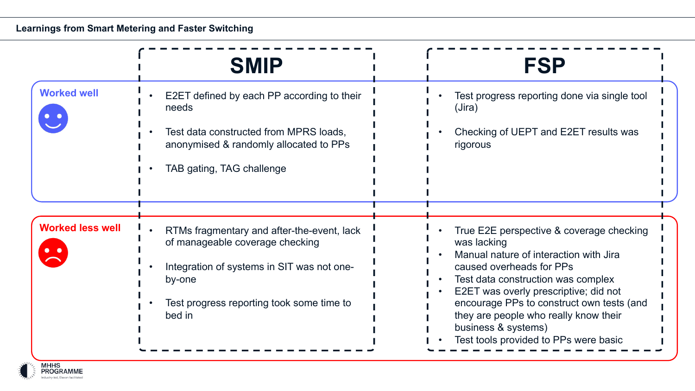### **Learnings from Smart Metering and Faster Switching**

|                         | <b>SMIP</b>                                                                                                                                                                                  | <b>FSP</b>                                                                                                                                                                                                                                                                                                                                                         |
|-------------------------|----------------------------------------------------------------------------------------------------------------------------------------------------------------------------------------------|--------------------------------------------------------------------------------------------------------------------------------------------------------------------------------------------------------------------------------------------------------------------------------------------------------------------------------------------------------------------|
| <b>Worked well</b>      | E2ET defined by each PP according to their<br>needs<br>Test data constructed from MPRS loads,<br>anonymised & randomly allocated to PPs<br>TAB gating, TAG challenge                         | Test progress reporting done via single tool<br>(Jira)<br>Checking of UEPT and E2ET results was<br>rigorous                                                                                                                                                                                                                                                        |
| <b>Worked less well</b> | RTMs fragmentary and after-the-event, lack<br>of manageable coverage checking<br>Integration of systems in SIT was not one-<br>by-one<br>Test progress reporting took some time to<br>bed in | True E2E perspective & coverage checking<br>was lacking<br>Manual nature of interaction with Jira<br>caused overheads for PPs<br>Test data construction was complex<br>E2ET was overly prescriptive; did not<br>encourage PPs to construct own tests (and<br>they are people who really know their<br>business & systems)<br>Test tools provided to PPs were basic |

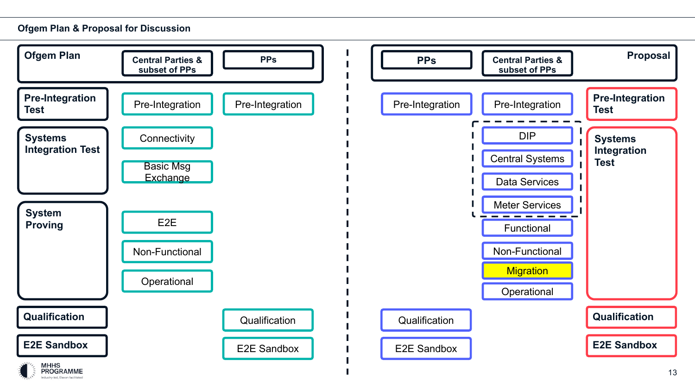#### **Ofgem Plan & Proposal for Discussion**

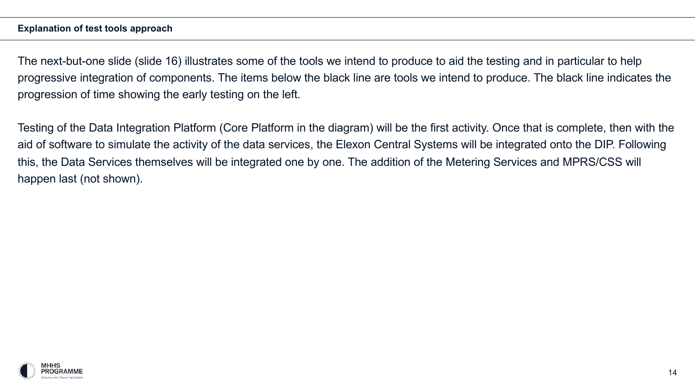#### **Explanation of test tools approach**

The next-but-one slide (slide 16) illustrates some of the tools we intend to produce to aid the testing and in particular to help progressive integration of components. The items below the black line are tools we intend to produce. The black line indicates the progression of time showing the early testing on the left.

Testing of the Data Integration Platform (Core Platform in the diagram) will be the first activity. Once that is complete, then with the aid of software to simulate the activity of the data services, the Elexon Central Systems will be integrated onto the DIP. Following this, the Data Services themselves will be integrated one by one. The addition of the Metering Services and MPRS/CSS will happen last (not shown).

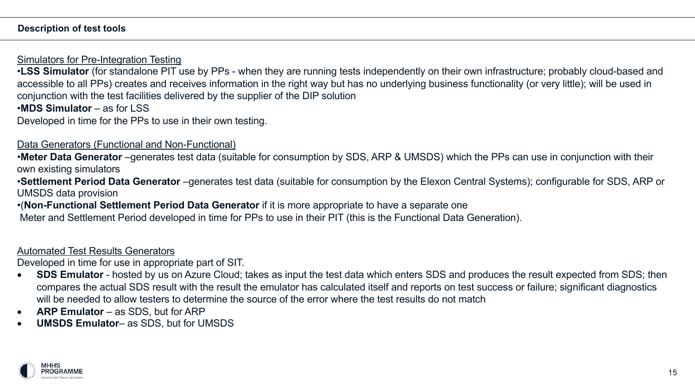#### **Description of test tools**

Simulators for Pre-Integration Testing

•**LSS Simulator** (for standalone PIT use by PPs - when they are running tests independently on their own infrastructure; probably cloud-based and accessible to all PPs) creates and receives information in the right way but has no underlying business functionality (or very little); will be used in conjunction with the test facilities delivered by the supplier of the DIP solution

•**MDS Simulator** – as for LSS

Developed in time for the PPs to use in their own testing.

#### Data Generators (Functional and Non-Functional)

•**Meter Data Generator** –generates test data (suitable for consumption by SDS, ARP & UMSDS) which the PPs can use in conjunction with their own existing simulators

•**Settlement Period Data Generator** –generates test data (suitable for consumption by the Elexon Central Systems); configurable for SDS, ARP or UMSDS data provision

•(**Non-Functional Settlement Period Data Generator** if it is more appropriate to have a separate one

Meter and Settlement Period developed in time for PPs to use in their PIT (this is the Functional Data Generation).

#### Automated Test Results Generators

Developed in time for use in appropriate part of SIT.

- **SDS Emulator**  hosted by us on Azure Cloud; takes as input the test data which enters SDS and produces the result expected from SDS; then compares the actual SDS result with the result the emulator has calculated itself and reports on test success or failure; significant diagnostics will be needed to allow testers to determine the source of the error where the test results do not match
- **ARP Emulator**  as SDS, but for ARP
- **UMSDS Emulator** as SDS, but for UMSDS

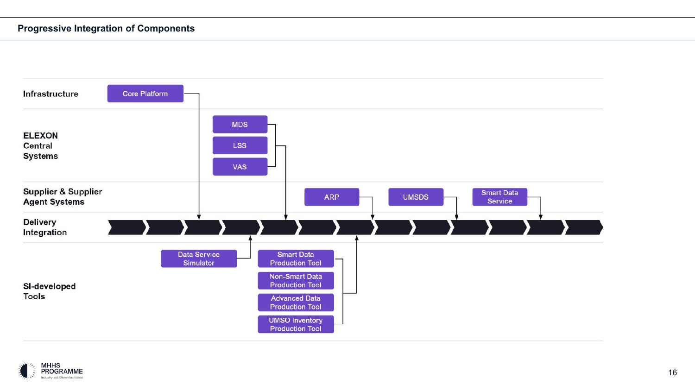#### **Progressive Integration of Components**



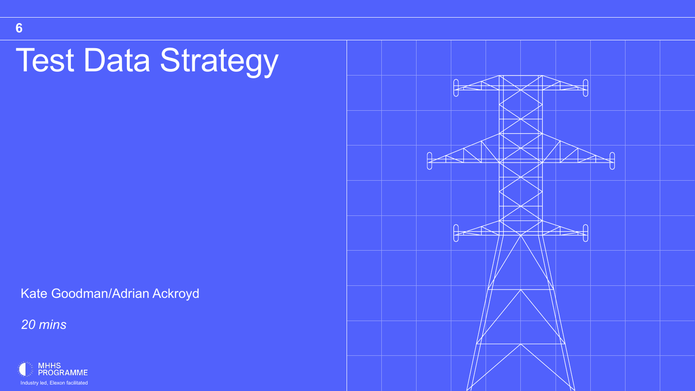# Test Data Strategy

Kate Goodman/Adrian Ackroyd



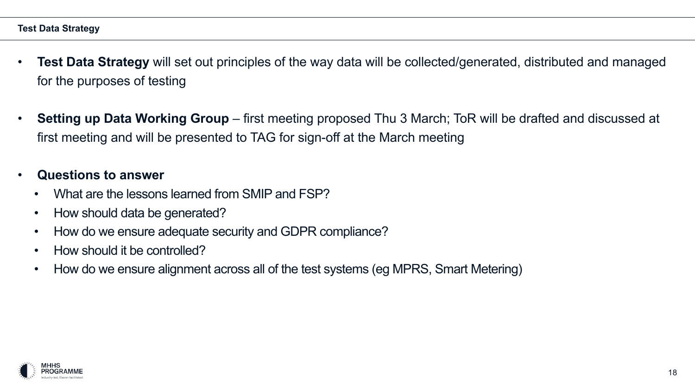- **Test Data Strategy** will set out principles of the way data will be collected/generated, distributed and managed for the purposes of testing
- **Setting up Data Working Group**  first meeting proposed Thu 3 March; ToR will be drafted and discussed at first meeting and will be presented to TAG for sign-off at the March meeting

### • **Questions to answer**

- What are the lessons learned from SMIP and FSP?
- How should data be generated?
- How do we ensure adequate security and GDPR compliance?
- How should it be controlled?
- How do we ensure alignment across all of the test systems (eg MPRS, Smart Metering)

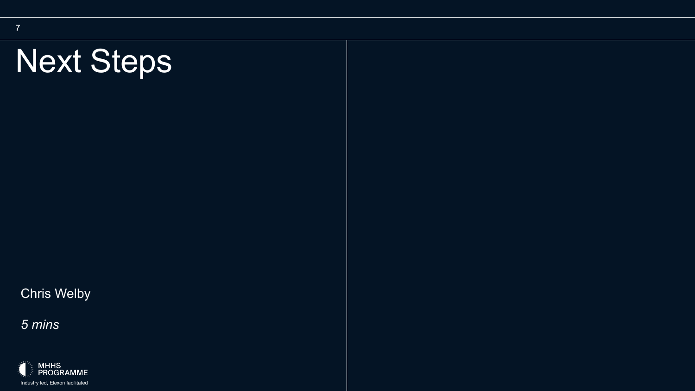# Next Steps

Chris Welby

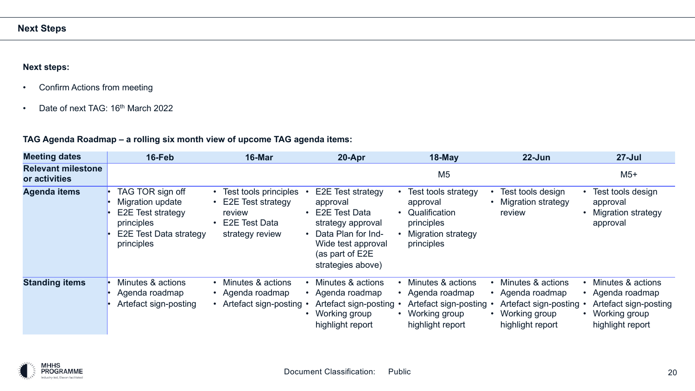#### **Next steps:**

- Confirm Actions from meeting
- Date of next TAG: 16<sup>th</sup> March 2022

#### **TAG Agenda Roadmap – a rolling six month view of upcome TAG agenda items:**

| <b>Meeting dates</b>                       | 16-Feb                                                                                                          | 16-Mar                                                                                          | 20-Apr                                                                                                                                                                | $18$ -May                                                                                                   | $22 - Jun$                                                                                        | $27 -$ Jul                                                                                          |
|--------------------------------------------|-----------------------------------------------------------------------------------------------------------------|-------------------------------------------------------------------------------------------------|-----------------------------------------------------------------------------------------------------------------------------------------------------------------------|-------------------------------------------------------------------------------------------------------------|---------------------------------------------------------------------------------------------------|-----------------------------------------------------------------------------------------------------|
| <b>Relevant milestone</b><br>or activities |                                                                                                                 |                                                                                                 |                                                                                                                                                                       | M <sub>5</sub>                                                                                              |                                                                                                   | $M5+$                                                                                               |
| <b>Agenda items</b>                        | TAG TOR sign off<br>Migration update<br>E2E Test strategy<br>principles<br>E2E Test Data strategy<br>principles | Test tools principles<br>E2E Test strategy<br>review<br><b>E2E Test Data</b><br>strategy review | E2E Test strategy<br>approval<br>E2E Test Data<br>strategy approval<br>Data Plan for Ind-<br>$\bullet$<br>Wide test approval<br>(as part of E2E)<br>strategies above) | Test tools strategy<br>approval<br>• Qualification<br>principles<br><b>Migration strategy</b><br>principles | Test tools design<br><b>Migration strategy</b><br>review                                          | Test tools design<br>approval<br><b>Migration strategy</b><br>approval                              |
| <b>Standing items</b>                      | Minutes & actions<br>Agenda roadmap<br>Artefact sign-posting                                                    | Minutes & actions<br>• Agenda roadmap<br>Artefact sign-posting                                  | Minutes & actions<br>• Agenda roadmap<br>Artefact sign-posting<br>Working group<br>highlight report                                                                   | Minutes & actions<br>• Agenda roadmap<br>Artefact sign-posting<br>• Working group<br>highlight report       | Minutes & actions<br>Agenda roadmap<br>Artefact sign-posting<br>Working group<br>highlight report | Minutes & actions<br>• Agenda roadmap<br>Artefact sign-posting<br>Working group<br>highlight report |